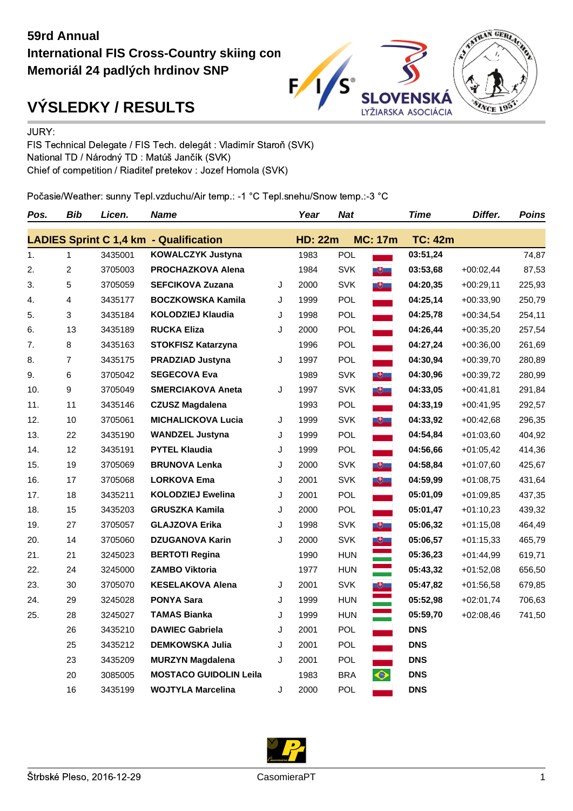

## **VÝSLEDKY / RESULTS**

JURY:

FIS Technical Delegate / FIS Tech. delegát : Vladimír Staroň (SVK) National TD / Národný TD : Matúš Jančík (SVK) Chief of competition / Riaditeľ pretekov : Jozef Homola (SVK)

Počasie/Weather: sunny Tepl.vzduchu/Air temp.: -1 °C Tepl.snehu/Snow temp.:-3 °C

| Pos. | <b>Bib</b>     | Licen.  | <b>Name</b>                                   |   | Year           | <b>Nat</b> |                         | <b>Time</b>    | Differ.     | <b>Poins</b> |
|------|----------------|---------|-----------------------------------------------|---|----------------|------------|-------------------------|----------------|-------------|--------------|
|      |                |         | <b>LADIES Sprint C 1,4 km - Qualification</b> |   | <b>HD: 22m</b> |            | <b>MC: 17m</b>          | <b>TC: 42m</b> |             |              |
| 1.   | 1              | 3435001 | <b>KOWALCZYK Justyna</b>                      |   | 1983           | <b>POL</b> |                         | 03:51,24       |             | 74,87        |
| 2.   | $\overline{c}$ | 3705003 | PROCHAZKOVA Alena                             |   | 1984           | <b>SVK</b> | $\mathbf{H}$            | 03:53,68       | $+00:02,44$ | 87,53        |
| 3.   | 5              | 3705059 | <b>SEFCIKOVA Zuzana</b>                       | J | 2000           | <b>SVK</b> | $\overline{H}$          | 04:20,35       | $+00:29.11$ | 225,93       |
| 4.   | 4              | 3435177 | <b>BOCZKOWSKA Kamila</b>                      | J | 1999           | POL        |                         | 04:25,14       | $+00:33,90$ | 250,79       |
| 5.   | 3              | 3435184 | KOLODZIEJ Klaudia                             | J | 1998           | POL        |                         | 04:25,78       | $+00:34,54$ | 254,11       |
| 6.   | 13             | 3435189 | <b>RUCKA Eliza</b>                            | J | 2000           | <b>POL</b> |                         | 04:26,44       | $+00:35,20$ | 257,54       |
| 7.   | 8              | 3435163 | <b>STOKFISZ Katarzyna</b>                     |   | 1996           | POL        |                         | 04:27,24       | $+00:36,00$ | 261,69       |
| 8.   | $\overline{7}$ | 3435175 | <b>PRADZIAD Justyna</b>                       | J | 1997           | <b>POL</b> |                         | 04:30,94       | $+00:39,70$ | 280,89       |
| 9.   | 6              | 3705042 | <b>SEGECOVA Eva</b>                           |   | 1989           | <b>SVK</b> | $\overline{\mathbf{r}}$ | 04:30,96       | +00:39,72   | 280,99       |
| 10.  | 9              | 3705049 | <b>SMERCIAKOVA Aneta</b>                      | J | 1997           | <b>SVK</b> | $+$                     | 04:33,05       | $+00:41,81$ | 291,84       |
| 11.  | 11             | 3435146 | <b>CZUSZ Magdalena</b>                        |   | 1993           | POL        |                         | 04:33,19       | $+00:41,95$ | 292,57       |
| 12.  | 10             | 3705061 | <b>MICHALICKOVA Lucia</b>                     | J | 1999           | <b>SVK</b> | $\overline{\mathbf{r}}$ | 04:33,92       | $+00:42,68$ | 296,35       |
| 13.  | 22             | 3435190 | <b>WANDZEL Justyna</b>                        | J | 1999           | <b>POL</b> |                         | 04:54,84       | $+01:03,60$ | 404,92       |
| 14.  | 12             | 3435191 | <b>PYTEL Klaudia</b>                          | J | 1999           | POL        |                         | 04:56,66       | +01:05,42   | 414,36       |
| 15.  | 19             | 3705069 | <b>BRUNOVA Lenka</b>                          | J | 2000           | <b>SVK</b> | $\overline{\mathbf{e}}$ | 04:58,84       | +01:07,60   | 425,67       |
| 16.  | 17             | 3705068 | <b>LORKOVA Ema</b>                            | J | 2001           | <b>SVK</b> | $\overline{\mathbf{e}}$ | 04:59,99       | $+01:08,75$ | 431,64       |
| 17.  | 18             | 3435211 | <b>KOLODZIEJ Ewelina</b>                      | J | 2001           | POL        |                         | 05:01,09       | $+01:09,85$ | 437,35       |
| 18.  | 15             | 3435203 | <b>GRUSZKA Kamila</b>                         | J | 2000           | POL        |                         | 05:01,47       | $+01:10,23$ | 439,32       |
| 19.  | 27             | 3705057 | <b>GLAJZOVA Erika</b>                         | J | 1998           | <b>SVK</b> | $\overline{a}$          | 05:06,32       | $+01:15,08$ | 464,49       |
| 20.  | 14             | 3705060 | <b>DZUGANOVA Karin</b>                        | J | 2000           | <b>SVK</b> | $\bigoplus$             | 05:06,57       | $+01:15,33$ | 465,79       |
| 21.  | 21             | 3245023 | <b>BERTOTI Regina</b>                         |   | 1990           | <b>HUN</b> |                         | 05:36,23       | +01:44,99   | 619,71       |
| 22.  | 24             | 3245000 | <b>ZAMBO Viktoria</b>                         |   | 1977           | <b>HUN</b> |                         | 05:43,32       | $+01:52,08$ | 656,50       |
| 23.  | 30             | 3705070 | <b>KESELAKOVA Alena</b>                       | J | 2001           | <b>SVK</b> | $+$                     | 05:47,82       | $+01:56,58$ | 679,85       |
| 24.  | 29             | 3245028 | <b>PONYA Sara</b>                             | J | 1999           | <b>HUN</b> |                         | 05:52,98       | $+02:01,74$ | 706,63       |
| 25.  | 28             | 3245027 | <b>TAMAS Bianka</b>                           | J | 1999           | <b>HUN</b> |                         | 05:59,70       | $+02:08,46$ | 741,50       |
|      | 26             | 3435210 | <b>DAWIEC Gabriela</b>                        | J | 2001           | <b>POL</b> |                         | <b>DNS</b>     |             |              |
|      | 25             | 3435212 | <b>DEMKOWSKA Julia</b>                        | J | 2001           | POL        |                         | <b>DNS</b>     |             |              |
|      | 23             | 3435209 | <b>MURZYN Magdalena</b>                       | J | 2001           | POL        |                         | <b>DNS</b>     |             |              |
|      | 20             | 3085005 | <b>MOSTACO GUIDOLIN Leila</b>                 |   | 1983           | <b>BRA</b> | $\bullet$               | <b>DNS</b>     |             |              |
|      | 16             | 3435199 | <b>WOJTYLA Marcelina</b>                      | J | 2000           | POL        |                         | <b>DNS</b>     |             |              |